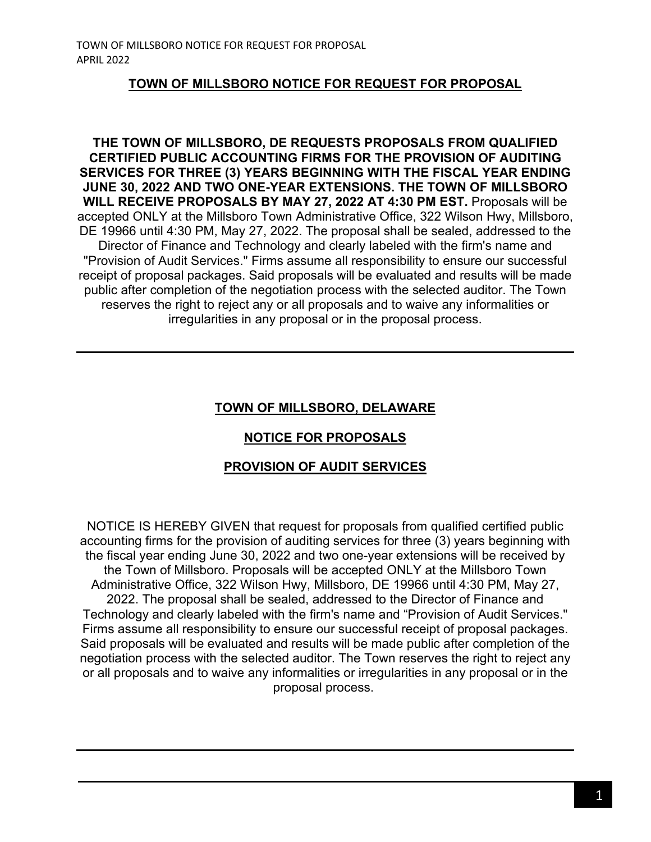#### **TOWN OF MILLSBORO NOTICE FOR REQUEST FOR PROPOSAL**

**THE TOWN OF MILLSBORO, DE REQUESTS PROPOSALS FROM QUALIFIED CERTIFIED PUBLIC ACCOUNTING FIRMS FOR THE PROVISION OF AUDITING SERVICES FOR THREE (3) YEARS BEGINNING WITH THE FISCAL YEAR ENDING JUNE 30, 2022 AND TWO ONE-YEAR EXTENSIONS. THE TOWN OF MILLSBORO WILL RECEIVE PROPOSALS BY MAY 27, 2022 AT 4:30 PM EST.** Proposals will be accepted ONLY at the Millsboro Town Administrative Office, 322 Wilson Hwy, Millsboro, DE 19966 until 4:30 PM, May 27, 2022. The proposal shall be sealed, addressed to the Director of Finance and Technology and clearly labeled with the firm's name and "Provision of Audit Services." Firms assume all responsibility to ensure our successful receipt of proposal packages. Said proposals will be evaluated and results will be made public after completion of the negotiation process with the selected auditor. The Town reserves the right to reject any or all proposals and to waive any informalities or irregularities in any proposal or in the proposal process.

# **TOWN OF MILLSBORO, DELAWARE**

# **NOTICE FOR PROPOSALS**

### **PROVISION OF AUDIT SERVICES**

NOTICE IS HEREBY GIVEN that request for proposals from qualified certified public accounting firms for the provision of auditing services for three (3) years beginning with the fiscal year ending June 30, 2022 and two one-year extensions will be received by the Town of Millsboro. Proposals will be accepted ONLY at the Millsboro Town Administrative Office, 322 Wilson Hwy, Millsboro, DE 19966 until 4:30 PM, May 27, 2022. The proposal shall be sealed, addressed to the Director of Finance and Technology and clearly labeled with the firm's name and "Provision of Audit Services." Firms assume all responsibility to ensure our successful receipt of proposal packages. Said proposals will be evaluated and results will be made public after completion of the negotiation process with the selected auditor. The Town reserves the right to reject any or all proposals and to waive any informalities or irregularities in any proposal or in the proposal process.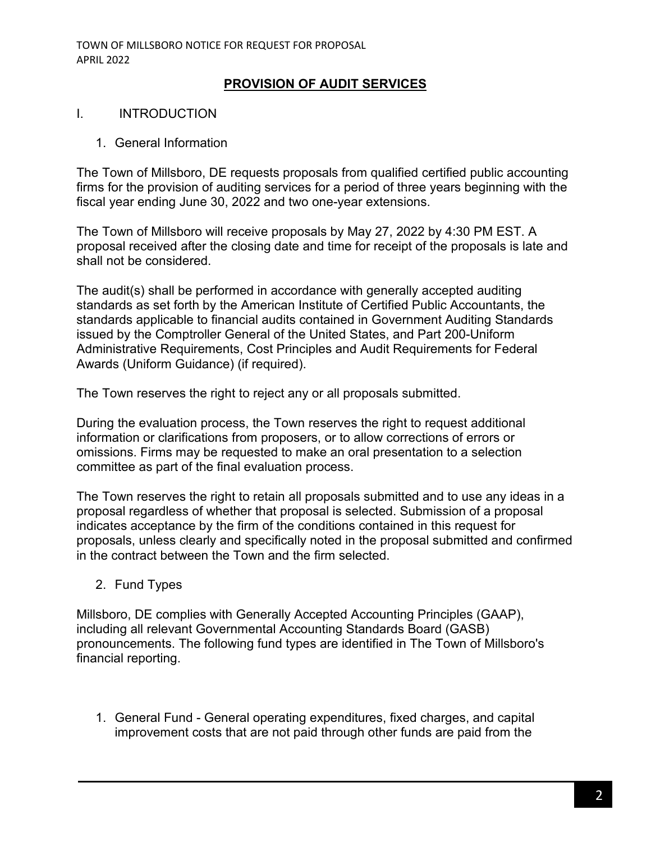#### **PROVISION OF AUDIT SERVICES**

#### I. INTRODUCTION

1. General Information

The Town of Millsboro, DE requests proposals from qualified certified public accounting firms for the provision of auditing services for a period of three years beginning with the fiscal year ending June 30, 2022 and two one-year extensions.

The Town of Millsboro will receive proposals by May 27, 2022 by 4:30 PM EST. A proposal received after the closing date and time for receipt of the proposals is late and shall not be considered.

The audit(s) shall be performed in accordance with generally accepted auditing standards as set forth by the American Institute of Certified Public Accountants, the standards applicable to financial audits contained in Government Auditing Standards issued by the Comptroller General of the United States, and Part 200-Uniform Administrative Requirements, Cost Principles and Audit Requirements for Federal Awards (Uniform Guidance) (if required).

The Town reserves the right to reject any or all proposals submitted.

During the evaluation process, the Town reserves the right to request additional information or clarifications from proposers, or to allow corrections of errors or omissions. Firms may be requested to make an oral presentation to a selection committee as part of the final evaluation process.

The Town reserves the right to retain all proposals submitted and to use any ideas in a proposal regardless of whether that proposal is selected. Submission of a proposal indicates acceptance by the firm of the conditions contained in this request for proposals, unless clearly and specifically noted in the proposal submitted and confirmed in the contract between the Town and the firm selected.

2. Fund Types

Millsboro, DE complies with Generally Accepted Accounting Principles (GAAP), including all relevant Governmental Accounting Standards Board (GASB) pronouncements. The following fund types are identified in The Town of Millsboro's financial reporting.

1. General Fund - General operating expenditures, fixed charges, and capital improvement costs that are not paid through other funds are paid from the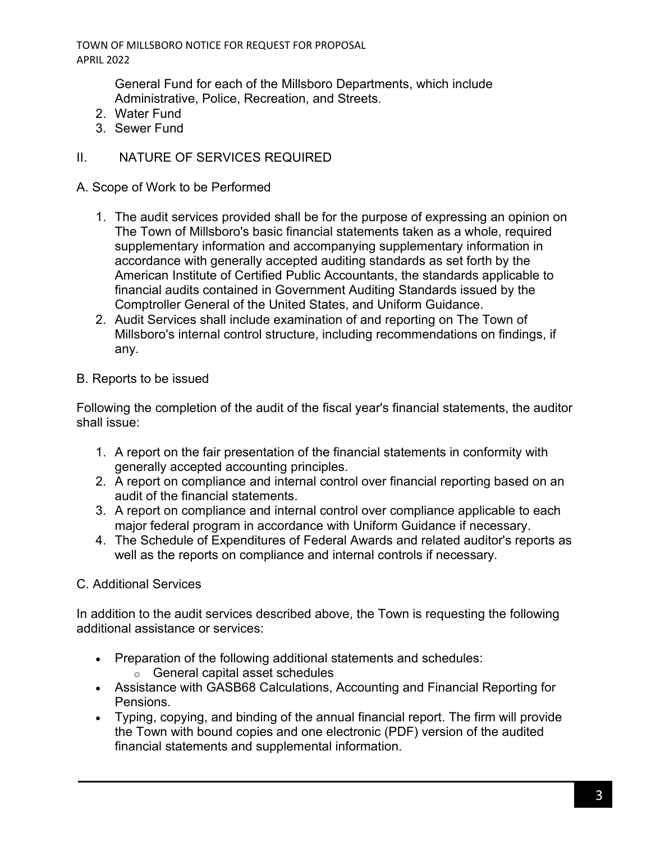TOWN OF MILLSBORO NOTICE FOR REQUEST FOR PROPOSAL APRIL 2022

> General Fund for each of the Millsboro Departments, which include Administrative, Police, Recreation, and Streets.

- 2. Water Fund
- 3. Sewer Fund

# II. NATURE OF SERVICES REQUIRED

### A. Scope of Work to be Performed

- 1. The audit services provided shall be for the purpose of expressing an opinion on The Town of Millsboro's basic financial statements taken as a whole, required supplementary information and accompanying supplementary information in accordance with generally accepted auditing standards as set forth by the American Institute of Certified Public Accountants, the standards applicable to financial audits contained in Government Auditing Standards issued by the Comptroller General of the United States, and Uniform Guidance.
- 2. Audit Services shall include examination of and reporting on The Town of Millsboro's internal control structure, including recommendations on findings, if any.

# B. Reports to be issued

Following the completion of the audit of the fiscal year's financial statements, the auditor shall issue:

- 1. A report on the fair presentation of the financial statements in conformity with generally accepted accounting principles.
- 2. A report on compliance and internal control over financial reporting based on an audit of the financial statements.
- 3. A report on compliance and internal control over compliance applicable to each major federal program in accordance with Uniform Guidance if necessary.
- 4. The Schedule of Expenditures of Federal Awards and related auditor's reports as well as the reports on compliance and internal controls if necessary.

# C. Additional Services

In addition to the audit services described above, the Town is requesting the following additional assistance or services:

- Preparation of the following additional statements and schedules:
	- o General capital asset schedules
- Assistance with GASB68 Calculations, Accounting and Financial Reporting for Pensions.
- Typing, copying, and binding of the annual financial report. The firm will provide the Town with bound copies and one electronic (PDF) version of the audited financial statements and supplemental information.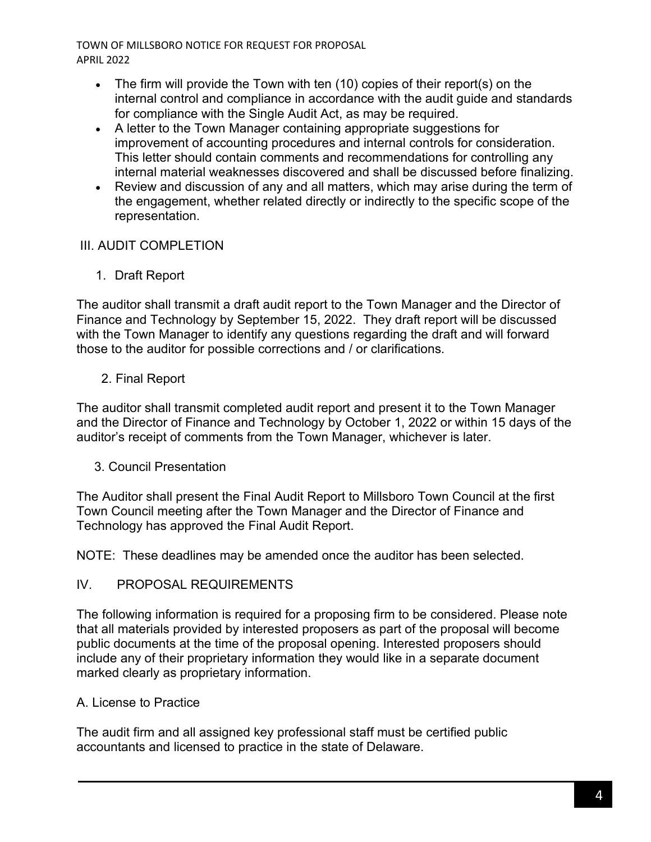TOWN OF MILLSBORO NOTICE FOR REQUEST FOR PROPOSAL APRIL 2022

- The firm will provide the Town with ten (10) copies of their report(s) on the internal control and compliance in accordance with the audit guide and standards for compliance with the Single Audit Act, as may be required.
- A letter to the Town Manager containing appropriate suggestions for improvement of accounting procedures and internal controls for consideration. This letter should contain comments and recommendations for controlling any internal material weaknesses discovered and shall be discussed before finalizing.
- Review and discussion of any and all matters, which may arise during the term of the engagement, whether related directly or indirectly to the specific scope of the representation.

### III. AUDIT COMPLETION

1. Draft Report

The auditor shall transmit a draft audit report to the Town Manager and the Director of Finance and Technology by September 15, 2022. They draft report will be discussed with the Town Manager to identify any questions regarding the draft and will forward those to the auditor for possible corrections and / or clarifications.

# 2. Final Report

The auditor shall transmit completed audit report and present it to the Town Manager and the Director of Finance and Technology by October 1, 2022 or within 15 days of the auditor's receipt of comments from the Town Manager, whichever is later.

# 3. Council Presentation

The Auditor shall present the Final Audit Report to Millsboro Town Council at the first Town Council meeting after the Town Manager and the Director of Finance and Technology has approved the Final Audit Report.

NOTE: These deadlines may be amended once the auditor has been selected.

# IV. PROPOSAL REQUIREMENTS

The following information is required for a proposing firm to be considered. Please note that all materials provided by interested proposers as part of the proposal will become public documents at the time of the proposal opening. Interested proposers should include any of their proprietary information they would like in a separate document marked clearly as proprietary information.

# A. License to Practice

The audit firm and all assigned key professional staff must be certified public accountants and licensed to practice in the state of Delaware.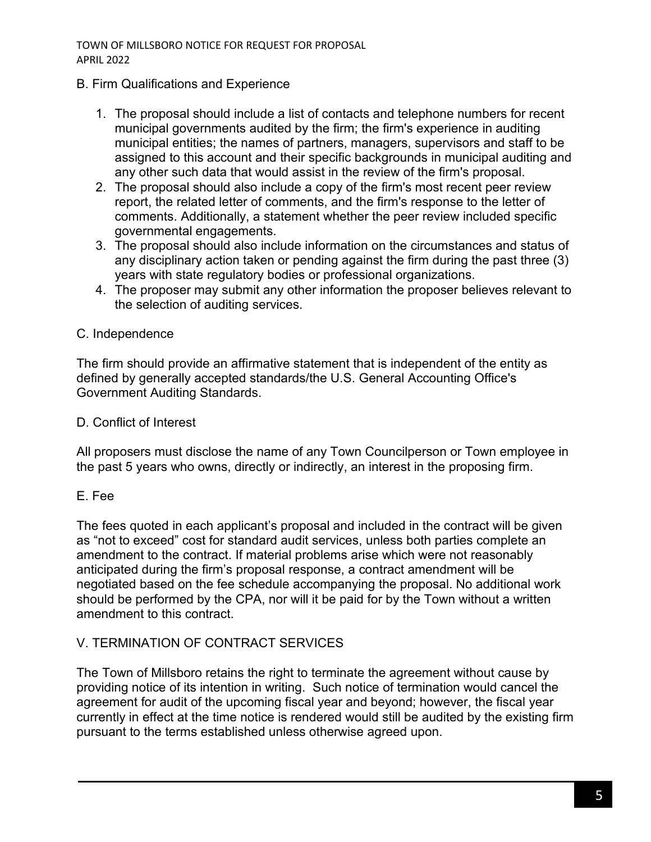TOWN OF MILLSBORO NOTICE FOR REQUEST FOR PROPOSAL APRIL 2022

#### B. Firm Qualifications and Experience

- 1. The proposal should include a list of contacts and telephone numbers for recent municipal governments audited by the firm; the firm's experience in auditing municipal entities; the names of partners, managers, supervisors and staff to be assigned to this account and their specific backgrounds in municipal auditing and any other such data that would assist in the review of the firm's proposal.
- 2. The proposal should also include a copy of the firm's most recent peer review report, the related letter of comments, and the firm's response to the letter of comments. Additionally, a statement whether the peer review included specific governmental engagements.
- 3. The proposal should also include information on the circumstances and status of any disciplinary action taken or pending against the firm during the past three (3) years with state regulatory bodies or professional organizations.
- 4. The proposer may submit any other information the proposer believes relevant to the selection of auditing services.

### C. Independence

The firm should provide an affirmative statement that is independent of the entity as defined by generally accepted standards/the U.S. General Accounting Office's Government Auditing Standards.

#### D. Conflict of Interest

All proposers must disclose the name of any Town Councilperson or Town employee in the past 5 years who owns, directly or indirectly, an interest in the proposing firm.

### E. Fee

The fees quoted in each applicant's proposal and included in the contract will be given as "not to exceed" cost for standard audit services, unless both parties complete an amendment to the contract. If material problems arise which were not reasonably anticipated during the firm's proposal response, a contract amendment will be negotiated based on the fee schedule accompanying the proposal. No additional work should be performed by the CPA, nor will it be paid for by the Town without a written amendment to this contract.

### V. TERMINATION OF CONTRACT SERVICES

The Town of Millsboro retains the right to terminate the agreement without cause by providing notice of its intention in writing. Such notice of termination would cancel the agreement for audit of the upcoming fiscal year and beyond; however, the fiscal year currently in effect at the time notice is rendered would still be audited by the existing firm pursuant to the terms established unless otherwise agreed upon.